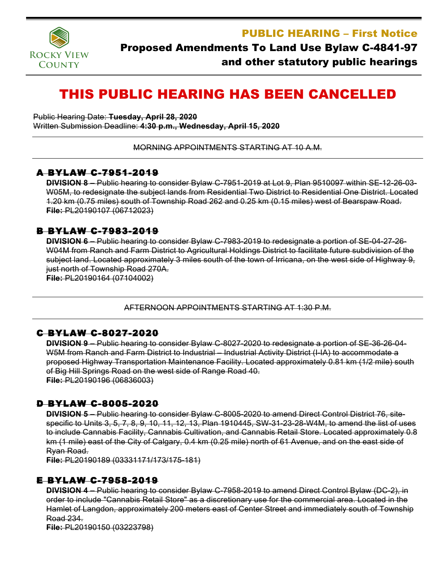

PUBLIC HEARING – First Notice

## Proposed Amendments To Land Use Bylaw C-4841-97 and other statutory public hearings

# THIS PUBLIC HEARING HAS BEEN CANCELLED

Public Hearing Date: **Tuesday, April 28, 2020** Written Submission Deadline: **4:30 p.m., Wednesday, April 15, 2020**

MORNING APPOINTMENTS STARTING AT 10 A.M.

#### A BYLAW C-7951-2019

**DIVISION 8 –** Public hearing to consider Bylaw C-7951-2019 at Lot 9, Plan 9510097 within SE-12-26-03- W05M, to redesignate the subject lands from Residential Two District to Residential One District. Located 1.20 km (0.75 miles) south of Township Road 262 and 0.25 km (0.15 miles) west of Bearspaw Road. **File:** PL20190107 (06712023)

#### B BYLAW C-7983-2019

**DIVISION 6 –** Public hearing to consider Bylaw C-7983-2019 to redesignate a portion of SE-04-27-26- W04M from Ranch and Farm District to Agricultural Holdings District to facilitate future subdivision of the subject land. Located approximately 3 miles south of the town of Irricana, on the west side of Highway 9, just north of Township Road 270A. **File:** PL20190164 (07104002)

AFTERNOON APPOINTMENTS STARTING AT 1:30 P.M.

#### C BYLAW C-8027-2020

**DIVISION 9 –** Public hearing to consider Bylaw C-8027-2020 to redesignate a portion of SE-36-26-04- W5M from Ranch and Farm District to Industrial – Industrial Activity District (I-IA) to accommodate a proposed Highway Transportation Maintenance Facility. Located approximately 0.81 km (1/2 mile) south of Big Hill Springs Road on the west side of Range Road 40. **File:** PL20190196 (06836003)

#### D BYLAW C-8005-2020

**DIVISION 5 –** Public hearing to consider Bylaw C-8005-2020 to amend Direct Control District 76, sitespecific to Units 3, 5, 7, 8, 9, 10, 11, 12, 13, Plan 1910445, SW-31-23-28-W4M, to amend the list of uses to include Cannabis Facility, Cannabis Cultivation, and Cannabis Retail Store. Located approximately 0.8 km (1 mile) east of the City of Calgary, 0.4 km (0.25 mile) north of 61 Avenue, and on the east side of Ryan Road.

**File:** PL20190189 (03331171/173/175-181)

### E BYLAW C-7958-2019

**DIVISION 4 –** Public hearing to consider Bylaw C-7958-2019 to amend Direct Control Bylaw (DC-2), in order to include "Cannabis Retail Store" as a discretionary use for the commercial area. Located in the Hamlet of Langdon, approximately 200 meters east of Center Street and immediately south of Township Road 234.

**File:** PL20190150 (03223798)